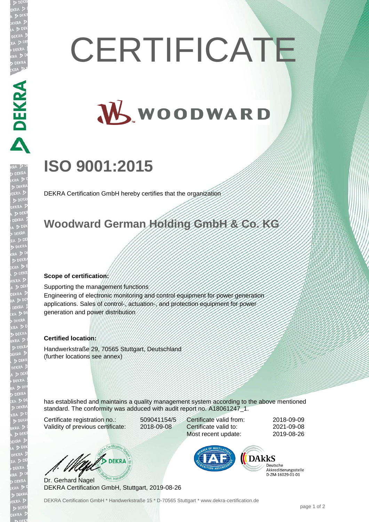# **CERTIFICATE**

# W WOODWARD

## **ISO 9001:2015**

DEKRA Certification GmbH hereby certifies that the organization

#### **Woodward German Holding GmbH & Co. KG**

#### **Scope of certification:**

Supporting the management functions Engineering of electronic monitoring and control equipment for power generation applications. Sales of control-, actuation-, and protection equipment for power generation and power distribution

#### **Certified location:**

Handwerkstraße 29, 70565 Stuttgart, Deutschland (further locations see annex)

has established and maintains a quality management system according to the above mentioned standard. The conformity was adduced with audit report no. A18061247\_1.

Certificate registration no.: 509041154/5 Validity of previous certificate: 2018-09-08

Certificate valid from: 2018-09-09 Certificate valid to: 2021-09-08 Most recent update: 2019-08-26

WAS DEKRA

Dr. Gerhard Nagel DEKRA Certification GmbH, Stuttgart, 2019-08-26



Deutsche Akkreditierungsstelle D-7M-16029-01-01